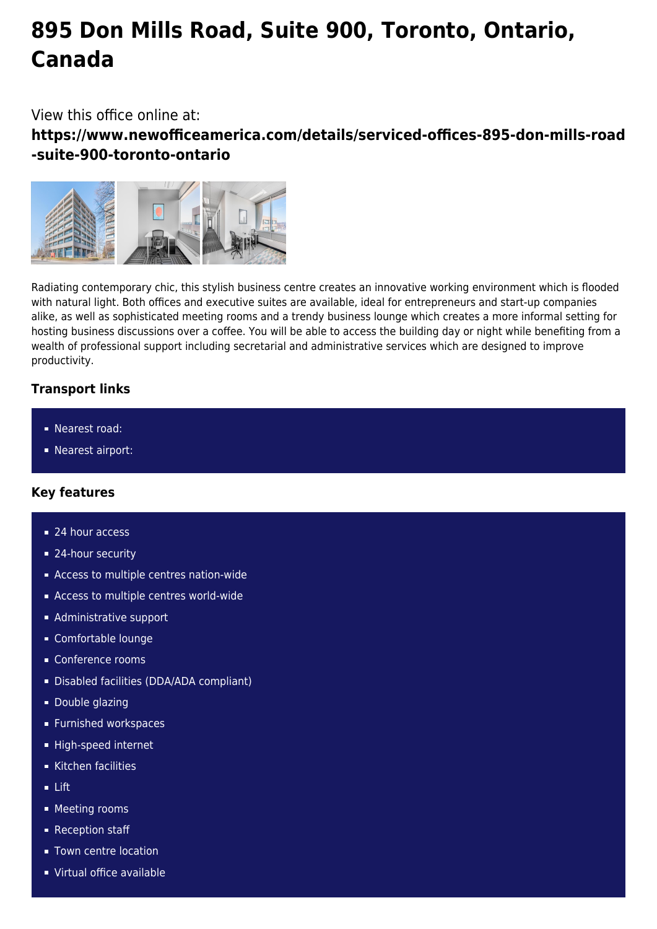# **895 Don Mills Road, Suite 900, Toronto, Ontario, Canada**

View this office online at:

**https://www.newofficeamerica.com/details/serviced-offices-895-don-mills-road -suite-900-toronto-ontario**



Radiating contemporary chic, this stylish business centre creates an innovative working environment which is flooded with natural light. Both offices and executive suites are available, ideal for entrepreneurs and start-up companies alike, as well as sophisticated meeting rooms and a trendy business lounge which creates a more informal setting for hosting business discussions over a coffee. You will be able to access the building day or night while benefiting from a wealth of professional support including secretarial and administrative services which are designed to improve productivity.

## **Transport links**

- **Nearest road:**
- **Nearest airport:**

## **Key features**

- 24 hour access
- 24-hour security
- Access to multiple centres nation-wide
- **Access to multiple centres world-wide**
- **Administrative support**
- Comfortable lounge
- Conference rooms
- Disabled facilities (DDA/ADA compliant)
- Double glazing
- **Furnished workspaces**
- High-speed internet
- Kitchen facilities
- Lift
- **Meeting rooms**
- Reception staff
- **Town centre location**
- Virtual office available